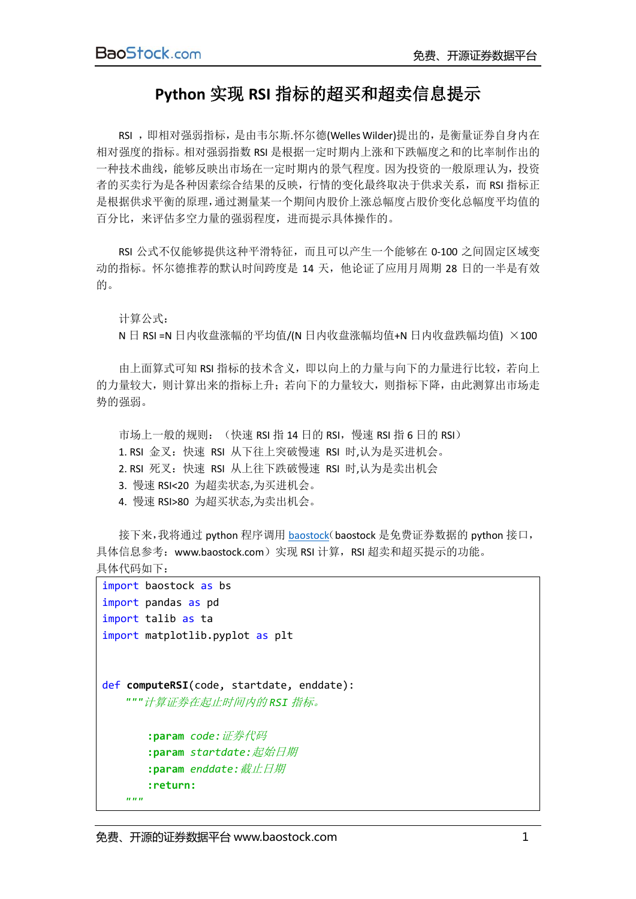## **Python** 实现 **RSI** 指标的超买和超卖信息提示

RSI ,即相对强弱指标,是由韦尔斯.怀尔德(Welles Wilder)提出的,是衡量证券自身内在 相对强度的指标。相对强弱指数 RSI 是根据一定时期内上涨和下跌幅度之和的比率制作出的 一种技术曲线,能够反映出市场在一定时期内的景气程度。因为投资的一般原理认为,投资 者的买卖行为是各种因素综合结果的反映,行情的变化最终取决于供求关系,而 RSI 指标正 是根据供求平衡的原理,通过测量某一个期间内股价上涨总幅度占股价变化总幅度平均值的 百分比,来评估多空力量的强弱程度,进而提示具体操作的。

RSI 公式不仅能够提供这种平滑特征,而且可以产生一个能够在 0-100 之间固定区域变 动的指标。怀尔德推荐的默认时间跨度是 14 天,他论证了应用月周期 28 日的一半是有效 的。

## 计算公式:

N 日 RSI =N 日内收盘涨幅的平均值/(N 日内收盘涨幅均值+N 日内收盘跌幅均值) ×100

由上面算式可知 RSI 指标的技术含义,即以向上的力量与向下的力量进行比较,若向上 的力量较大,则计算出来的指标上升;若向下的力量较大,则指标下降,由此测算出市场走 势的强弱。

市场上一般的规则: (快速 RSI 指 14 日的 RSI, 慢速 RSI 指 6 日的 RSI) 1. RSI 金叉:快速 RSI 从下往上突破慢速 RSI 时,认为是买进机会。 2. RSI 死叉:快速 RSI 从上往下跌破慢速 RSI 时,认为是卖出机会 3. 慢速 RSI<20 为超卖状态,为买进机会。 4. 慢速 RSI>80 为超买状态,为卖出机会。

接下来,我将通过 python 程序调用 [baostock](http://www.baostock.com/)(baostock 是免费证券数据的 python 接口, 具体信息参考: www.baostock.com)实现 RSI 计算, RSI 超卖和超买提示的功能。 具体代码如下:

```
import baostock as bs
import pandas as pd
import talib as ta
import matplotlib.pyplot as plt
def computeRSI(code, startdate, enddate):
    """计算证券在起止时间内的 RSI 指标。
        :param code:证券代码
        :param startdate:起始日期
        :param enddate:截止日期
        :return:
    """
```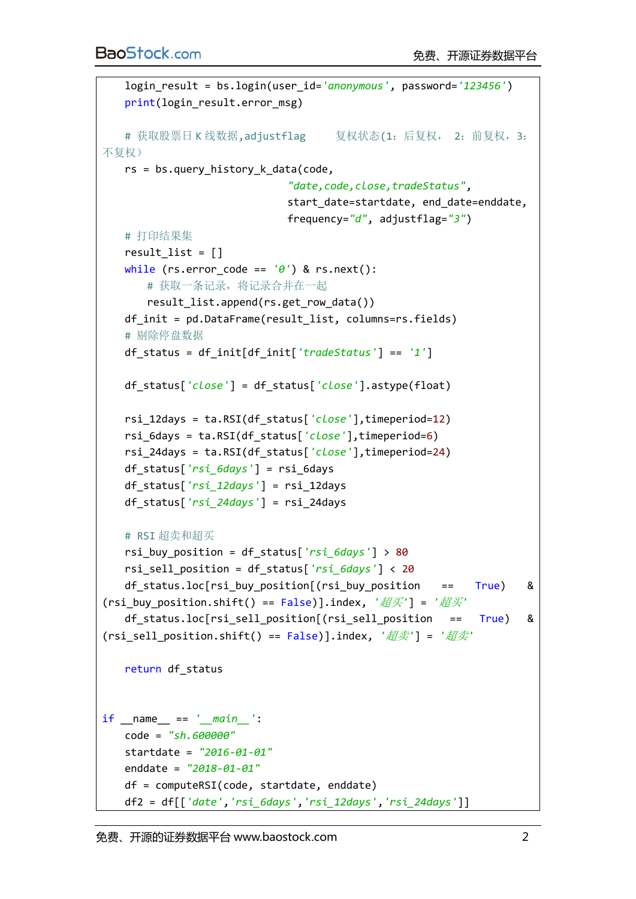```
 login_result = bs.login(user_id='anonymous', password='123456')
    print(login_result.error_msg)
    # 获取股票日 K 线数据,adjustflag 复权状态(1:后复权, 2:前复权,3:
不复权)
    rs = bs.query_history_k_data(code,
                              "date,code,close,tradeStatus",
                              start_date=startdate, end_date=enddate,
                             frequency="d", adjustflag="3")
    # 打印结果集
   result list = []
    while (rs.error_code == '0') & rs.next():
        # 获取一条记录,将记录合并在一起
       result list.append(rs.get row data())
    df_init = pd.DataFrame(result_list, columns=rs.fields)
    # 剔除停盘数据
    df_status = df_init[df_init['tradeStatus'] == '1']
    df_status['close'] = df_status['close'].astype(float)
    rsi_12days = ta.RSI(df_status['close'],timeperiod=12)
    rsi_6days = ta.RSI(df_status['close'],timeperiod=6)
    rsi_24days = ta.RSI(df_status['close'],timeperiod=24)
    df_status['rsi_6days'] = rsi_6days
    df_status['rsi_12days'] = rsi_12days
    df_status['rsi_24days'] = rsi_24days
    # RSI 超卖和超买
    rsi_buy_position = df_status['rsi_6days'] > 80
    rsi_sell_position = df_status['rsi_6days'] < 20
    df_status.loc[rsi_buy_position[(rsi_buy_position == True) & 
(rsi_buy_position.shift() == False)].index, '超买'] = '超买'
    df_status.loc[rsi_sell_position[(rsi_sell_position == True) & 
(rsi_sell_position.shift() == False)].index, '超卖'] = '超卖'
    return df_status
if __name__ == '__main__':
    code = "sh.600000"
    startdate = "2016-01-01"
    enddate = "2018-01-01"
    df = computeRSI(code, startdate, enddate)
    df2 = df[['date','rsi_6days','rsi_12days','rsi_24days']]
```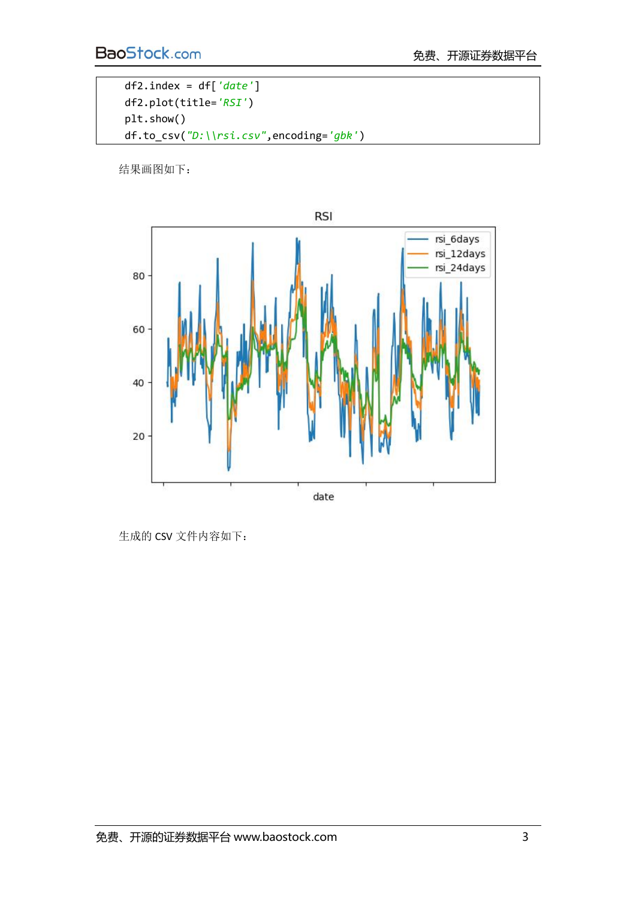```
 df2.index = df['date']
 df2.plot(title='RSI')
 plt.show()
 df.to_csv("D:\\rsi.csv",encoding='gbk')
```
结果画图如下:



生成的 CSV 文件内容如下: